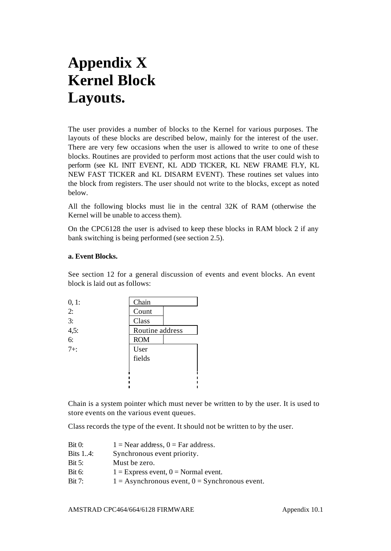# **Appendix X Kernel Block Layouts.**

The user provides a number of blocks to the Kernel for various purposes. The layouts of these blocks are described below, mainly for the interest of the user. There are very few occasions when the user is allowed to write to one of these blocks. Routines are provided to perform most actions that the user could wish to perform (see KL INIT EVENT, KL ADD TICKER, KL NEW FRAME FLY, KL NEW FAST TICKER and KL DISARM EVENT). These routines set values into the block from registers. The user should not write to the blocks, except as noted below.

All the following blocks must lie in the central 32K of RAM (otherwise the Kernel will be unable to access them).

On the CPC6128 the user is advised to keep these blocks in RAM block 2 if any bank switching is being performed (see section 2.5).

## **a. Event Blocks.**

See section 12 for a general discussion of events and event blocks. An event block is laid out as follows:

| 0, 1:        | Chain           |  |
|--------------|-----------------|--|
| 2:           | Count           |  |
| 3:           | Class           |  |
| $4,5:$<br>6: | Routine address |  |
|              | <b>ROM</b>      |  |
| $7 + :$      | User            |  |
|              | fields          |  |
|              |                 |  |
|              |                 |  |
|              |                 |  |

Chain is a system pointer which must never be written to by the user. It is used to store events on the various event queues.

Class records the type of the event. It should not be written to by the user.

| Bit 0:           | $1 =$ Near address, $0 =$ Far address.             |
|------------------|----------------------------------------------------|
| <b>Bits 1.4:</b> | Synchronous event priority.                        |
| Bit 5:           | Must be zero.                                      |
| Bit 6:           | $1 =$ Express event, $0 =$ Normal event.           |
| <b>Bit 7:</b>    | $1 =$ Asynchronous event, $0 =$ Synchronous event. |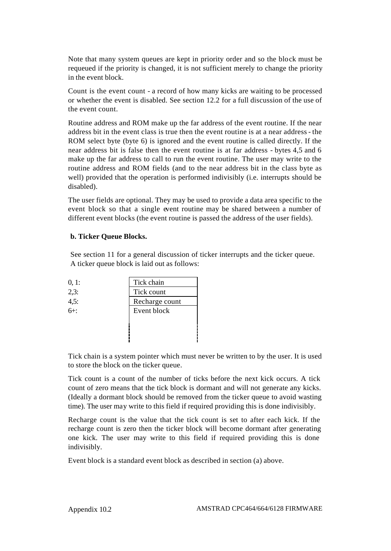Note that many system queues are kept in priority order and so the block must be requeued if the priority is changed, it is not sufficient merely to change the priority in the event block.

Count is the event count - a record of how many kicks are waiting to be processed or whether the event is disabled. See section 12.2 for a full discussion of the use of the event count.

Routine address and ROM make up the far address of the event routine. If the near address bit in the event class is true then the event routine is at a near address - the ROM select byte (byte 6) is ignored and the event routine is called directly. If the near address bit is false then the event routine is at far address - bytes 4,5 and 6 make up the far address to call to run the event routine. The user may write to the routine address and ROM fields (and to the near address bit in the class byte as well) provided that the operation is performed indivisibly (i.e. interrupts should be disabled).

The user fields are optional. They may be used to provide a data area specific to the event block so that a single event routine may be shared between a number of different event blocks (the event routine is passed the address of the user fields).

#### **b. Ticker Queue Blocks.**

See section 11 for a general discussion of ticker interrupts and the ticker queue. A ticker queue block is laid out as follows:

| 0, 1:    | Tick chain     |
|----------|----------------|
| 2,3:     | Tick count     |
| $4,5:6+$ | Recharge count |
|          | Event block    |
|          |                |
|          |                |
|          |                |

Tick chain is a system pointer which must never be written to by the user. It is used to store the block on the ticker queue.

Tick count is a count of the number of ticks before the next kick occurs. A tick count of zero means that the tick block is dormant and will not generate any kicks. (Ideally a dormant block should be removed from the ticker queue to avoid wasting time). The user may write to this field if required providing this is done indivisibly.

Recharge count is the value that the tick count is set to after each kick. If the recharge count is zero then the ticker block will become dormant after generating one kick. The user may write to this field if required providing this is done indivisibly.

Event block is a standard event block as described in section (a) above.